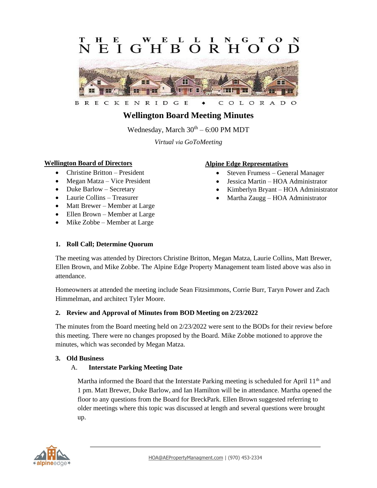#### E E L **GHRORH**  $F_{\rm c}$  $\mathbf{I}$  $\Omega$  $\Omega$



ENRID  $\mathsf{G}$ E OLORAD B R E C K C  $\circ$ 

# **Wellington Board Meeting Minutes**

Wednesday, March  $30<sup>th</sup> - 6:00$  PM MDT

*Virtual via GoToMeeting*

### **Wellington Board of Directors**

- Christine Britton President
- Megan Matza Vice President
- Duke Barlow Secretary
- Laurie Collins Treasurer
- Matt Brewer Member at Large
- Ellen Brown Member at Large
- Mike Zobbe Member at Large

### **Alpine Edge Representatives**

- Steven Frumess General Manager
- Jessica Martin HOA Administrator
- Kimberlyn Bryant HOA Administrator
- Martha Zaugg HOA Administrator

#### **1. Roll Call; Determine Quorum**

The meeting was attended by Directors Christine Britton, Megan Matza, Laurie Collins, Matt Brewer, Ellen Brown, and Mike Zobbe. The Alpine Edge Property Management team listed above was also in attendance.

Homeowners at attended the meeting include Sean Fitzsimmons, Corrie Burr, Taryn Power and Zach Himmelman, and architect Tyler Moore.

#### **2. Review and Approval of Minutes from BOD Meeting on 2/23/2022**

The minutes from the Board meeting held on 2/23/2022 were sent to the BODs for their review before this meeting. There were no changes proposed by the Board. Mike Zobbe motioned to approve the minutes, which was seconded by Megan Matza.

#### **3. Old Business**

#### A. **Interstate Parking Meeting Date**

Martha informed the Board that the Interstate Parking meeting is scheduled for April 11<sup>th</sup> and 1 pm. Matt Brewer, Duke Barlow, and Ian Hamilton will be in attendance. Martha opened the floor to any questions from the Board for BreckPark. Ellen Brown suggested referring to older meetings where this topic was discussed at length and several questions were brought up.

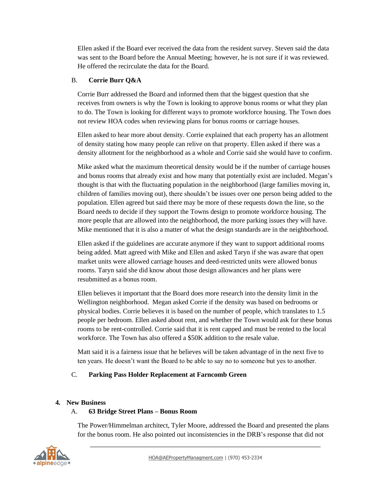Ellen asked if the Board ever received the data from the resident survey. Steven said the data was sent to the Board before the Annual Meeting; however, he is not sure if it was reviewed. He offered the recirculate the data for the Board.

#### B. **Corrie Burr Q&A**

Corrie Burr addressed the Board and informed them that the biggest question that she receives from owners is why the Town is looking to approve bonus rooms or what they plan to do. The Town is looking for different ways to promote workforce housing. The Town does not review HOA codes when reviewing plans for bonus rooms or carriage houses.

Ellen asked to hear more about density. Corrie explained that each property has an allotment of density stating how many people can relive on that property. Ellen asked if there was a density allotment for the neighborhood as a whole and Corrie said she would have to confirm.

Mike asked what the maximum theoretical density would be if the number of carriage houses and bonus rooms that already exist and how many that potentially exist are included. Megan's thought is that with the fluctuating population in the neighborhood (large families moving in, children of families moving out), there shouldn't be issues over one person being added to the population. Ellen agreed but said there may be more of these requests down the line, so the Board needs to decide if they support the Towns design to promote workforce housing. The more people that are allowed into the neighborhood, the more parking issues they will have. Mike mentioned that it is also a matter of what the design standards are in the neighborhood.

Ellen asked if the guidelines are accurate anymore if they want to support additional rooms being added. Matt agreed with Mike and Ellen and asked Taryn if she was aware that open market units were allowed carriage houses and deed-restricted units were allowed bonus rooms. Taryn said she did know about those design allowances and her plans were resubmitted as a bonus room.

Ellen believes it important that the Board does more research into the density limit in the Wellington neighborhood. Megan asked Corrie if the density was based on bedrooms or physical bodies. Corrie believes it is based on the number of people, which translates to 1.5 people per bedroom. Ellen asked about rent, and whether the Town would ask for these bonus rooms to be rent-controlled. Corrie said that it is rent capped and must be rented to the local workforce. The Town has also offered a \$50K addition to the resale value.

Matt said it is a fairness issue that he believes will be taken advantage of in the next five to ten years. He doesn't want the Board to be able to say no to someone but yes to another.

# C. **Parking Pass Holder Replacement at Farncomb Green**

#### **4. New Business**

# A. **63 Bridge Street Plans – Bonus Room**

The Power/Himmelman architect, Tyler Moore, addressed the Board and presented the plans for the bonus room. He also pointed out inconsistencies in the DRB's response that did not